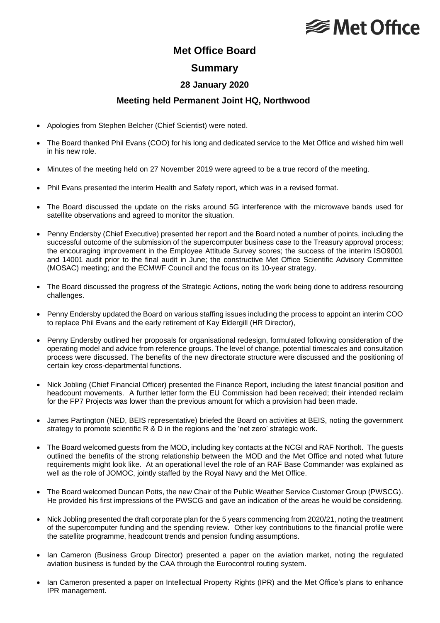# **<del></del>** Met Office

## **Met Office Board**

#### **Summary**

### **28 January 2020**

#### **Meeting held Permanent Joint HQ, Northwood**

- Apologies from Stephen Belcher (Chief Scientist) were noted.
- The Board thanked Phil Evans (COO) for his long and dedicated service to the Met Office and wished him well in his new role.
- Minutes of the meeting held on 27 November 2019 were agreed to be a true record of the meeting.
- Phil Evans presented the interim Health and Safety report, which was in a revised format.
- The Board discussed the update on the risks around 5G interference with the microwave bands used for satellite observations and agreed to monitor the situation.
- Penny Endersby (Chief Executive) presented her report and the Board noted a number of points, including the successful outcome of the submission of the supercomputer business case to the Treasury approval process; the encouraging improvement in the Employee Attitude Survey scores; the success of the interim ISO9001 and 14001 audit prior to the final audit in June; the constructive Met Office Scientific Advisory Committee (MOSAC) meeting; and the ECMWF Council and the focus on its 10-year strategy.
- The Board discussed the progress of the Strategic Actions, noting the work being done to address resourcing challenges.
- Penny Endersby updated the Board on various staffing issues including the process to appoint an interim COO to replace Phil Evans and the early retirement of Kay Eldergill (HR Director),
- Penny Endersby outlined her proposals for organisational redesign, formulated following consideration of the operating model and advice from reference groups. The level of change, potential timescales and consultation process were discussed. The benefits of the new directorate structure were discussed and the positioning of certain key cross-departmental functions.
- Nick Jobling (Chief Financial Officer) presented the Finance Report, including the latest financial position and headcount movements. A further letter form the EU Commission had been received; their intended reclaim for the FP7 Projects was lower than the previous amount for which a provision had been made.
- James Partington (NED, BEIS representative) briefed the Board on activities at BEIS, noting the government strategy to promote scientific R & D in the regions and the 'net zero' strategic work.
- The Board welcomed guests from the MOD, including key contacts at the NCGI and RAF Northolt. The guests outlined the benefits of the strong relationship between the MOD and the Met Office and noted what future requirements might look like. At an operational level the role of an RAF Base Commander was explained as well as the role of JOMOC, jointly staffed by the Royal Navy and the Met Office.
- The Board welcomed Duncan Potts, the new Chair of the Public Weather Service Customer Group (PWSCG). He provided his first impressions of the PWSCG and gave an indication of the areas he would be considering.
- Nick Jobling presented the draft corporate plan for the 5 years commencing from 2020/21, noting the treatment of the supercomputer funding and the spending review. Other key contributions to the financial profile were the satellite programme, headcount trends and pension funding assumptions.
- Ian Cameron (Business Group Director) presented a paper on the aviation market, noting the regulated aviation business is funded by the CAA through the Eurocontrol routing system.
- Ian Cameron presented a paper on Intellectual Property Rights (IPR) and the Met Office's plans to enhance IPR management.